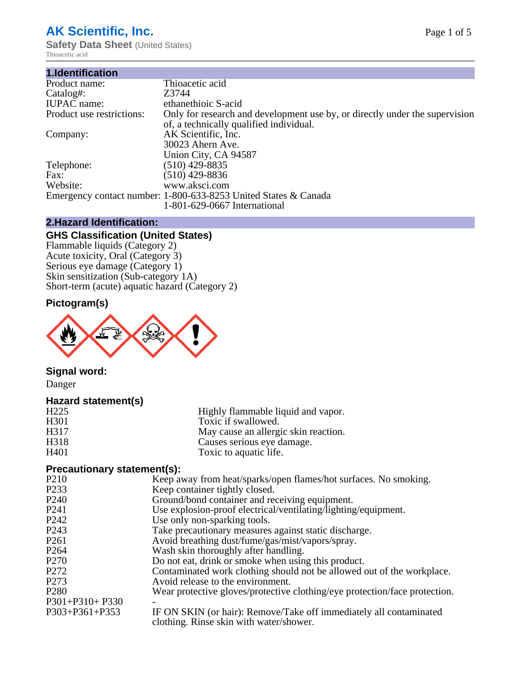# **AK Scientific, Inc.**

**Safety Data Sheet (United States)** Thioacetic acid

| 1.Identification          |                                                                                                                        |
|---------------------------|------------------------------------------------------------------------------------------------------------------------|
| Product name:             | Thioacetic acid                                                                                                        |
| Catalog#:                 | Z3744                                                                                                                  |
| <b>IUPAC</b> name:        | ethanethioic S-acid                                                                                                    |
| Product use restrictions: | Only for research and development use by, or directly under the supervision<br>of, a technically qualified individual. |
| Company:                  | AK Scientific, Inc.<br>30023 Ahern Ave.                                                                                |
|                           | Union City, CA 94587                                                                                                   |
| Telephone:                | $(510)$ 429-8835                                                                                                       |
| Fax:                      | (510) 429-8836                                                                                                         |
| Website:                  | www.aksci.com                                                                                                          |
|                           | Emergency contact number: 1-800-633-8253 United States & Canada                                                        |
|                           | 1-801-629-0667 International                                                                                           |

# **2.Hazard Identification:**

# **GHS Classification (United States)**

Flammable liquids (Category 2) Acute toxicity, Oral (Category 3) Serious eye damage (Category 1) Skin sensitization (Sub-category 1A) Short-term (acute) aquatic hazard (Category 2)

# **Pictogram(s)**



# **Signal word:**

Danger

# **Hazard statement(s)**

| H <sub>225</sub>  | Highly flammable liquid and vapor.   |
|-------------------|--------------------------------------|
| H <sub>301</sub>  | Toxic if swallowed.                  |
| H <sub>3</sub> 17 | May cause an allergic skin reaction. |
| H <sub>318</sub>  | Causes serious eye damage.           |
| H401              | Toxic to aquatic life.               |

# **Precautionary statement(s):**

| P <sub>210</sub>  | Keep away from heat/sparks/open flames/hot surfaces. No smoking.                                              |
|-------------------|---------------------------------------------------------------------------------------------------------------|
| P <sub>2</sub> 33 | Keep container tightly closed.                                                                                |
| P <sub>240</sub>  | Ground/bond container and receiving equipment.                                                                |
| P <sub>241</sub>  | Use explosion-proof electrical/ventilating/lighting/equipment.                                                |
| P <sub>242</sub>  | Use only non-sparking tools.                                                                                  |
| P <sub>243</sub>  | Take precautionary measures against static discharge.                                                         |
| P <sub>261</sub>  | Avoid breathing dust/fume/gas/mist/vapors/spray.                                                              |
| P <sub>264</sub>  | Wash skin thoroughly after handling.                                                                          |
| P <sub>270</sub>  | Do not eat, drink or smoke when using this product.                                                           |
| P <sub>272</sub>  | Contaminated work clothing should not be allowed out of the workplace.                                        |
| P <sub>273</sub>  | Avoid release to the environment.                                                                             |
| P <sub>280</sub>  | Wear protective gloves/protective clothing/eye protection/face protection.                                    |
| P301+P310+ P330   |                                                                                                               |
| P303+P361+P353    | IF ON SKIN (or hair): Remove/Take off immediately all contaminated<br>clothing. Rinse skin with water/shower. |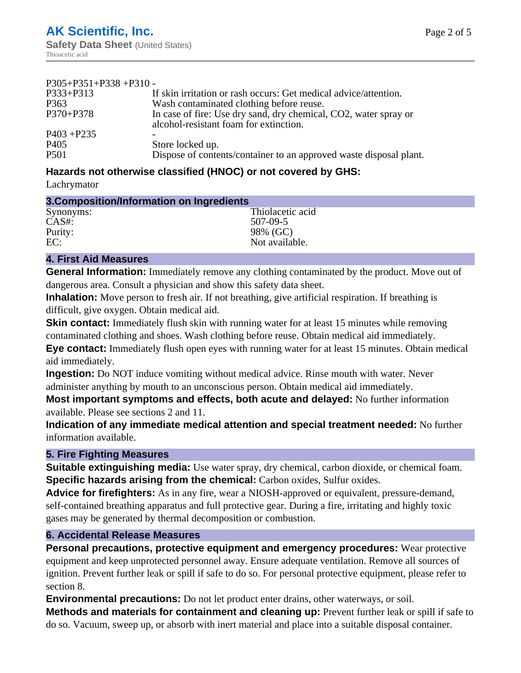| $P305+P351+P338+P310-$ |                                                                                                            |
|------------------------|------------------------------------------------------------------------------------------------------------|
| $P333 + P313$          | If skin irritation or rash occurs: Get medical advice/attention.                                           |
| P <sub>363</sub>       | Wash contaminated clothing before reuse.                                                                   |
| $P370 + P378$          | In case of fire: Use dry sand, dry chemical, CO2, water spray or<br>alcohol-resistant foam for extinction. |
| $P403 + P235$          |                                                                                                            |
| P <sub>405</sub>       | Store locked up.                                                                                           |
| P <sub>501</sub>       | Dispose of contents/container to an approved waste disposal plant.                                         |

# **Hazards not otherwise classified (HNOC) or not covered by GHS:**

Lachrymator

| 3. Composition/Information on Ingredients |                  |  |
|-------------------------------------------|------------------|--|
| Synonyms:                                 | Thiolacetic acid |  |
| $CAS#$ :                                  | 507-09-5         |  |
| Purity:                                   | 98% (GC)         |  |
| EC:                                       | Not available.   |  |

#### **4. First Aid Measures**

**General Information:** Immediately remove any clothing contaminated by the product. Move out of dangerous area. Consult a physician and show this safety data sheet.

**Inhalation:** Move person to fresh air. If not breathing, give artificial respiration. If breathing is difficult, give oxygen. Obtain medical aid.

**Skin contact:** Immediately flush skin with running water for at least 15 minutes while removing contaminated clothing and shoes. Wash clothing before reuse. Obtain medical aid immediately. **Eye contact:** Immediately flush open eyes with running water for at least 15 minutes. Obtain medical aid immediately.

**Ingestion:** Do NOT induce vomiting without medical advice. Rinse mouth with water. Never administer anything by mouth to an unconscious person. Obtain medical aid immediately.

**Most important symptoms and effects, both acute and delayed:** No further information available. Please see sections 2 and 11.

**Indication of any immediate medical attention and special treatment needed:** No further information available.

# **5. Fire Fighting Measures**

**Suitable extinguishing media:** Use water spray, dry chemical, carbon dioxide, or chemical foam. **Specific hazards arising from the chemical:** Carbon oxides, Sulfur oxides.

**Advice for firefighters:** As in any fire, wear a NIOSH-approved or equivalent, pressure-demand, self-contained breathing apparatus and full protective gear. During a fire, irritating and highly toxic gases may be generated by thermal decomposition or combustion.

# **6. Accidental Release Measures**

**Personal precautions, protective equipment and emergency procedures:** Wear protective equipment and keep unprotected personnel away. Ensure adequate ventilation. Remove all sources of ignition. Prevent further leak or spill if safe to do so. For personal protective equipment, please refer to section 8.

**Environmental precautions:** Do not let product enter drains, other waterways, or soil.

**Methods and materials for containment and cleaning up:** Prevent further leak or spill if safe to do so. Vacuum, sweep up, or absorb with inert material and place into a suitable disposal container.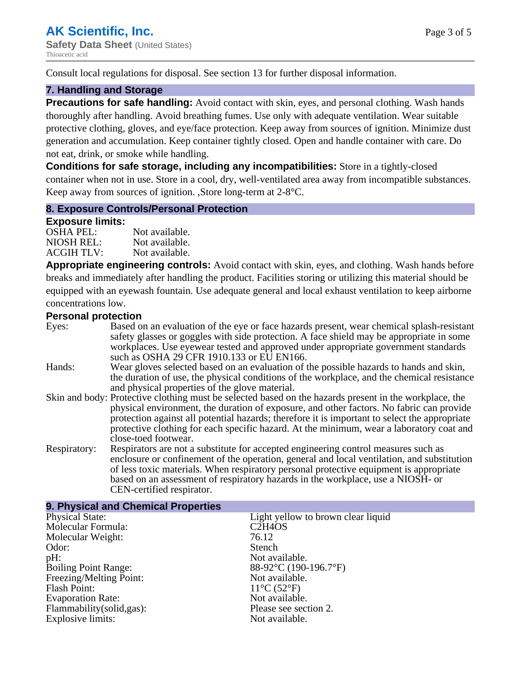Consult local regulations for disposal. See section 13 for further disposal information.

#### **7. Handling and Storage**

**Precautions for safe handling:** Avoid contact with skin, eyes, and personal clothing. Wash hands thoroughly after handling. Avoid breathing fumes. Use only with adequate ventilation. Wear suitable protective clothing, gloves, and eye/face protection. Keep away from sources of ignition. Minimize dust generation and accumulation. Keep container tightly closed. Open and handle container with care. Do not eat, drink, or smoke while handling.

**Conditions for safe storage, including any incompatibilities:** Store in a tightly-closed container when not in use. Store in a cool, dry, well-ventilated area away from incompatible substances. Keep away from sources of ignition. ,Store long-term at 2-8°C.

#### **8. Exposure Controls/Personal Protection**

#### **Exposure limits:**

| <b>OSHA PEL:</b>  | Not available. |
|-------------------|----------------|
| NIOSH REL:        | Not available. |
| <b>ACGIH TLV:</b> | Not available. |

**Appropriate engineering controls:** Avoid contact with skin, eyes, and clothing. Wash hands before breaks and immediately after handling the product. Facilities storing or utilizing this material should be equipped with an eyewash fountain. Use adequate general and local exhaust ventilation to keep airborne concentrations low.

#### **Personal protection**

| Eyes:        | Based on an evaluation of the eye or face hazards present, wear chemical splash-resistant<br>safety glasses or goggles with side protection. A face shield may be appropriate in some<br>workplaces. Use eyewear tested and approved under appropriate government standards<br>such as OSHA 29 CFR 1910.133 or EU EN166.                                                                                                |
|--------------|-------------------------------------------------------------------------------------------------------------------------------------------------------------------------------------------------------------------------------------------------------------------------------------------------------------------------------------------------------------------------------------------------------------------------|
| Hands:       | Wear gloves selected based on an evaluation of the possible hazards to hands and skin,<br>the duration of use, the physical conditions of the workplace, and the chemical resistance<br>and physical properties of the glove material.                                                                                                                                                                                  |
|              | Skin and body: Protective clothing must be selected based on the hazards present in the workplace, the<br>physical environment, the duration of exposure, and other factors. No fabric can provide<br>protection against all potential hazards; therefore it is important to select the appropriate<br>protective clothing for each specific hazard. At the minimum, wear a laboratory coat and<br>close-toed footwear. |
| Respiratory: | Respirators are not a substitute for accepted engineering control measures such as<br>enclosure or confinement of the operation, general and local ventilation, and substitution<br>of less toxic materials. When respiratory personal protective equipment is appropriate<br>based on an assessment of respiratory hazards in the workplace, use a NIOSH- or<br>CEN-certified respirator.                              |

| 9. Physical and Chemical Properties |                                              |
|-------------------------------------|----------------------------------------------|
| <b>Physical State:</b>              | Light yellow to brown clear liquid           |
| Molecular Formula:                  | C <sub>2</sub> H <sub>4</sub> O <sub>S</sub> |
| Molecular Weight:                   | 76.12                                        |
| Odor:                               | Stench                                       |
| $pH$ :                              | Not available.                               |
| <b>Boiling Point Range:</b>         | 88-92°C (190-196.7°F)                        |
| Freezing/Melting Point:             | Not available.                               |
| Flash Point:                        | $11^{\circ}C(52^{\circ}F)$                   |
| <b>Evaporation Rate:</b>            | Not available.                               |
| Flammability(solid,gas):            | Please see section 2.                        |
| <b>Explosive limits:</b>            | Not available.                               |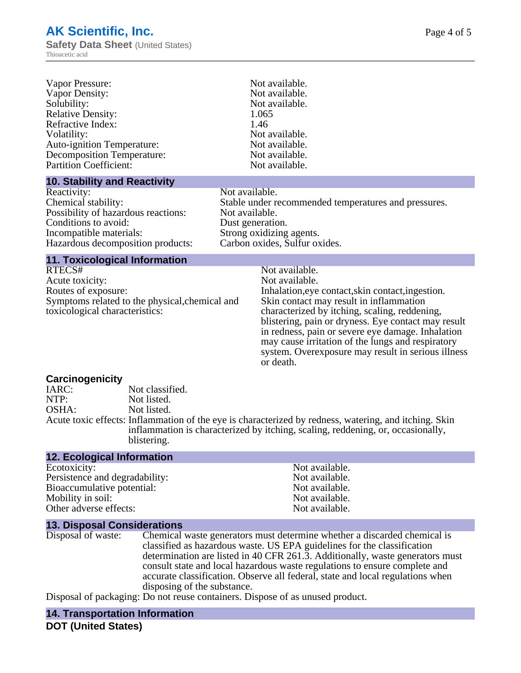| Vapor Pressure:<br>Vapor Density:<br>Solubility:<br><b>Relative Density:</b><br>Refractive Index:<br>Volatility:<br><b>Auto-ignition Temperature:</b><br><b>Decomposition Temperature:</b><br><b>Partition Coefficient:</b> |                                               |                | Not available.<br>Not available.<br>Not available.<br>1.065<br>1.46<br>Not available.<br>Not available.<br>Not available.<br>Not available.                                                                                                                                                                                                                                                                           |  |
|-----------------------------------------------------------------------------------------------------------------------------------------------------------------------------------------------------------------------------|-----------------------------------------------|----------------|-----------------------------------------------------------------------------------------------------------------------------------------------------------------------------------------------------------------------------------------------------------------------------------------------------------------------------------------------------------------------------------------------------------------------|--|
| <b>10. Stability and Reactivity</b><br>Reactivity:                                                                                                                                                                          |                                               | Not available. |                                                                                                                                                                                                                                                                                                                                                                                                                       |  |
| Chemical stability:<br>Possibility of hazardous reactions:<br>Conditions to avoid:<br>Incompatible materials:<br>Hazardous decomposition products:                                                                          |                                               |                | Stable under recommended temperatures and pressures.<br>Not available.<br>Dust generation.<br>Strong oxidizing agents.<br>Carbon oxides, Sulfur oxides.                                                                                                                                                                                                                                                               |  |
| <b>11. Toxicological Information</b>                                                                                                                                                                                        |                                               |                |                                                                                                                                                                                                                                                                                                                                                                                                                       |  |
| RTECS#<br>Acute toxicity:<br>Routes of exposure:<br>Symptoms related to the physical, chemical and<br>toxicological characteristics:                                                                                        |                                               |                | Not available.<br>Not available.<br>Inhalation, eye contact, skin contact, ingestion.<br>Skin contact may result in inflammation<br>characterized by itching, scaling, reddening,<br>blistering, pain or dryness. Eye contact may result<br>in redness, pain or severe eye damage. Inhalation<br>may cause irritation of the lungs and respiratory<br>system. Overexposure may result in serious illness<br>or death. |  |
| <b>Carcinogenicity</b><br>IARC:<br>NTP:<br>OSHA:                                                                                                                                                                            | Not classified.<br>Not listed.<br>Not listed. |                | Acute toxic effects: Inflammation of the eye is characterized by redness, watering, and itching. Skin<br>inflammation is characterized by itching, scaling, reddening, or, occasionally,                                                                                                                                                                                                                              |  |

**12. Ecological Information**

blistering.

Ecotoxicity: Not available.<br>
Persistence and degradability: Not available.<br>
Not available. Persistence and degradability:<br>
Bioaccumulative potential:<br>
Not available.<br>
Not available. Bioaccumulative potential: Mobility in soil:<br>
Other adverse effects:<br>
Other adverse effects:<br>  $\begin{array}{ccc}\n\bullet & \bullet & \bullet \\
\bullet & \bullet & \bullet \\
\bullet & \bullet & \bullet\n\end{array}$ Other adverse effects:

**13. Disposal Considerations** Chemical waste generators must determine whether a discarded chemical is classified as hazardous waste. US EPA guidelines for the classification determination are listed in 40 CFR 261.3. Additionally, waste generators must consult state and local hazardous waste regulations to ensure complete and accurate classification. Observe all federal, state and local regulations when disposing of the substance.

Disposal of packaging: Do not reuse containers. Dispose of as unused product.

# **14. Transportation Information**